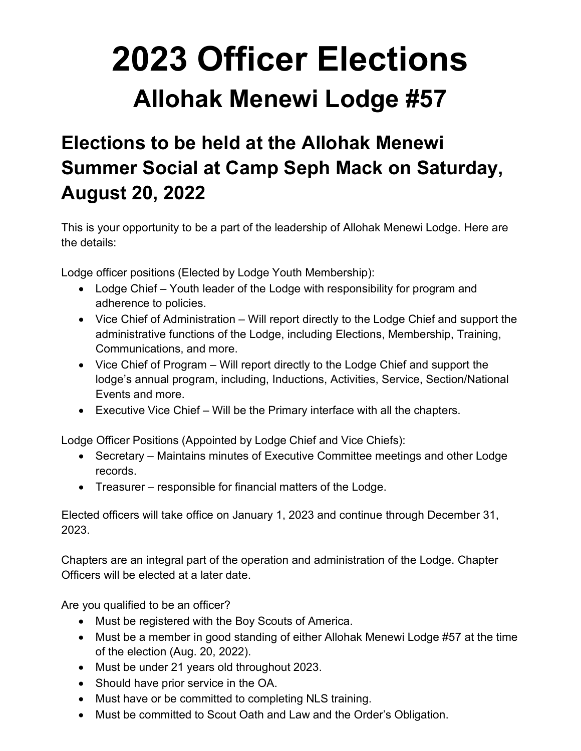# **2023 Officer Elections Allohak Menewi Lodge #57**

# **Elections to be held at the Allohak Menewi Summer Social at Camp Seph Mack on Saturday, August 20, 2022**

This is your opportunity to be a part of the leadership of Allohak Menewi Lodge. Here are the details:

Lodge officer positions (Elected by Lodge Youth Membership):

- Lodge Chief Youth leader of the Lodge with responsibility for program and adherence to policies.
- Vice Chief of Administration Will report directly to the Lodge Chief and support the administrative functions of the Lodge, including Elections, Membership, Training, Communications, and more.
- Vice Chief of Program Will report directly to the Lodge Chief and support the lodge's annual program, including, Inductions, Activities, Service, Section/National Events and more.
- Executive Vice Chief Will be the Primary interface with all the chapters.

Lodge Officer Positions (Appointed by Lodge Chief and Vice Chiefs):

- Secretary Maintains minutes of Executive Committee meetings and other Lodge records.
- Treasurer responsible for financial matters of the Lodge.

Elected officers will take office on January 1, 2023 and continue through December 31, 2023.

Chapters are an integral part of the operation and administration of the Lodge. Chapter Officers will be elected at a later date.

Are you qualified to be an officer?

- Must be registered with the Boy Scouts of America.
- Must be a member in good standing of either Allohak Menewi Lodge #57 at the time of the election (Aug. 20, 2022).
- Must be under 21 years old throughout 2023.
- Should have prior service in the OA.
- Must have or be committed to completing NLS training.
- Must be committed to Scout Oath and Law and the Order's Obligation.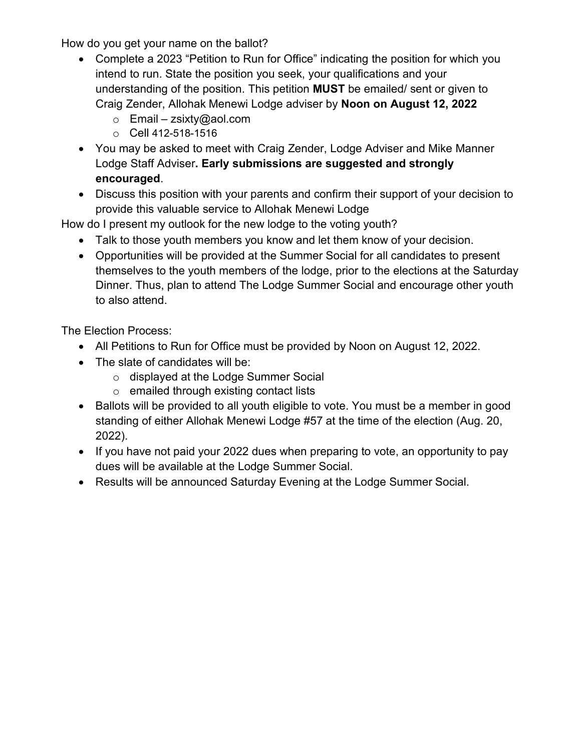How do you get your name on the ballot?

- Complete a 2023 "Petition to Run for Office" indicating the position for which you intend to run. State the position you seek, your qualifications and your understanding of the position. This petition **MUST** be emailed/ sent or given to Craig Zender, Allohak Menewi Lodge adviser by **Noon on August 12, 2022** 
	- $\circ$  Email – [zsixty@aol.com](mailto:zsixty@aol.com)
	- o Cell 412-518-1516
- You may be asked to meet with Craig Zender, Lodge Adviser and Mike Manner Lodge Staff Adviser**. Early submissions are suggested and strongly encouraged**.
- Discuss this position with your parents and confirm their support of your decision to provide this valuable service to Allohak Menewi Lodge

How do I present my outlook for the new lodge to the voting youth?

- Talk to those youth members you know and let them know of your decision.
- Opportunities will be provided at the Summer Social for all candidates to present themselves to the youth members of the lodge, prior to the elections at the Saturday Dinner. Thus, plan to attend The Lodge Summer Social and encourage other youth to also attend.

The Election Process:

- All Petitions to Run for Office must be provided by Noon on August 12, 2022.
- The slate of candidates will be:
	- o displayed at the Lodge Summer Social
	- o emailed through existing contact lists
- Ballots will be provided to all youth eligible to vote. You must be a member in good standing of either Allohak Menewi Lodge #57 at the time of the election (Aug. 20, 2022).
- If you have not paid your 2022 dues when preparing to vote, an opportunity to pay dues will be available at the Lodge Summer Social.
- Results will be announced Saturday Evening at the Lodge Summer Social.